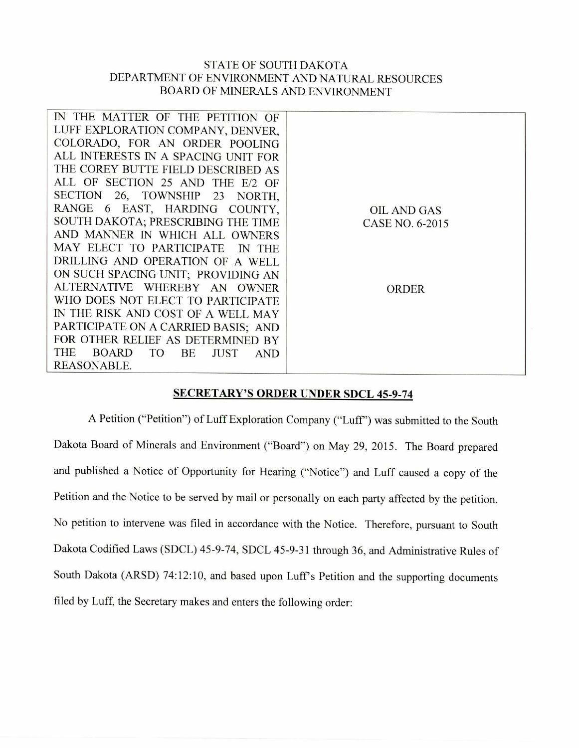## STATE OF SOUTH DAKOTA DEPARTMENT OF ENVIRONMENT AND NATURAL RESOURCES BOARD OF MINERALS AND ENVIRONMENT

| IN THE MATTER OF THE PETITION OF                   |                    |
|----------------------------------------------------|--------------------|
| LUFF EXPLORATION COMPANY, DENVER,                  |                    |
| COLORADO, FOR AN ORDER POOLING                     |                    |
| ALL INTERESTS IN A SPACING UNIT FOR                |                    |
| THE COREY BUTTE FIELD DESCRIBED AS                 |                    |
| ALL OF SECTION 25 AND THE<br>$E/2$ OF              |                    |
| SECTION 26, TOWNSHIP 23 NORTH,                     |                    |
| RANGE 6 EAST, HARDING COUNTY,                      | <b>OIL AND GAS</b> |
| SOUTH DAKOTA; PRESCRIBING THE TIME                 | CASE NO. 6-2015    |
| AND MANNER IN WHICH ALL OWNERS                     |                    |
| MAY ELECT TO PARTICIPATE<br>IN THE                 |                    |
| DRILLING AND OPERATION OF A WELL                   |                    |
| ON SUCH SPACING UNIT; PROVIDING AN                 |                    |
| ALTERNATIVE WHEREBY AN OWNER                       | <b>ORDER</b>       |
| WHO DOES NOT ELECT TO PARTICIPATE                  |                    |
| IN THE RISK AND COST OF A WELL MAY                 |                    |
| PARTICIPATE ON A CARRIED BASIS; AND                |                    |
| FOR OTHER RELIEF AS DETERMINED BY                  |                    |
| THE<br>BOARD TO<br>BE<br><b>JUST</b><br><b>AND</b> |                    |
| <b>REASONABLE.</b>                                 |                    |

## **SECRETARY'S ORDER UNDER SDCL 45-9-74**

A Petition ("Petition") of Luff Exploration Company ("Luff') was submitted to the South Dakota Board of Minerals and Environment ("Board") on May 29, 2015. The Board prepared and published a Notice of Opportunity for Hearing ("Notice") and Luff caused a copy of the Petition and the Notice to be served by mail or personally on each party affected by the petition. No petition to intervene was filed in accordance with the Notice. Therefore, pursuant to South Dakota Codified Laws (SDCL) 45-9-74, SDCL 45-9-31 through 36, and Administrative Rules of South Dakota (ARSD) 74:12:10, and based upon Luff's Petition and the supporting documents filed by Luff, the Secretary makes and enters the following order: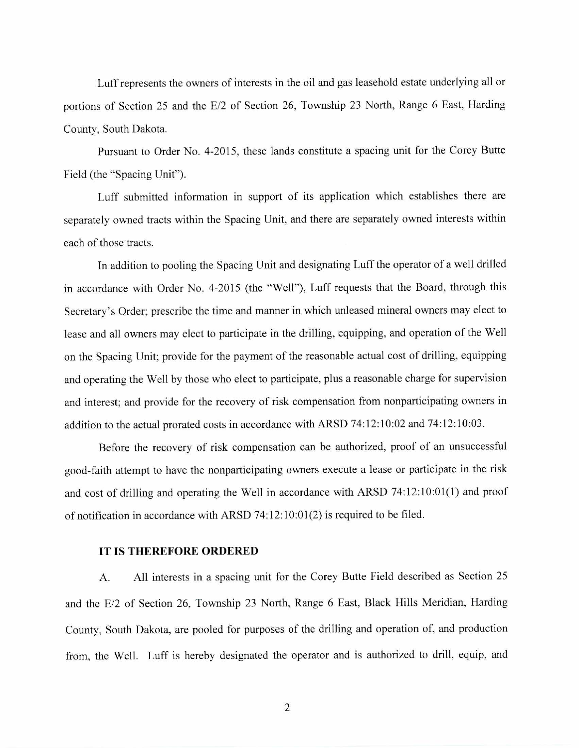Luff represents the owners of interests in the oil and gas leasehold estate underlying all or portions of Section 25 and the E/2 of Section 26, Township 23 North, Range 6 East, Harding County, South Dakota.

Pursuant to Order No. 4-2015, these lands constitute a spacing unit for the Corey Butte Field (the "Spacing Unit").

Luff submitted information in support of its application which establishes there are separately owned tracts within the Spacing Unit, and there are separately owned interests within each of those tracts.

In addition to pooling the Spacing Unit and designating Luff the operator of a well drilled in accordance with Order No. 4-2015 (the "Well"), Luff requests that the Board, through this Secretary's Order; prescribe the time and manner in which unleased mineral owners may elect to lease and all owners may elect to participate in the drilling, equipping, and operation of the Well on the Spacing Unit; provide for the payment of the reasonable actual cost of drilling, equipping and operating the Well by those who elect to participate, plus a reasonable charge for supervision and interest; and provide for the recovery of risk compensation from nonparticipating owners in addition to the actual prorated costs in accordance with ARSD 74:12:10:02 and 74:12:10:03.

Before the recovery of risk compensation can be authorized, proof of an unsuccessful good-faith attempt to have the nonparticipating owners execute a lease or participate in the risk and cost of drilling and operating the Well in accordance with ARSD 74:12:10:01(1) and proof of notification in accordance with ARSD 74:12:10:01(2) is required to be filed.

## **IT IS THEREFORE ORDERED**

A. All interests in a spacing unit for the Corey Butte Field described as Section 25 and the E/2 of Section 26, Township 23 North, Range 6 East, Black Hills Meridian, Harding County, South Dakota, are pooled for purposes of the drilling and operation of, and production from, the Well. Luff is hereby designated the operator and is authorized to drill, equip, and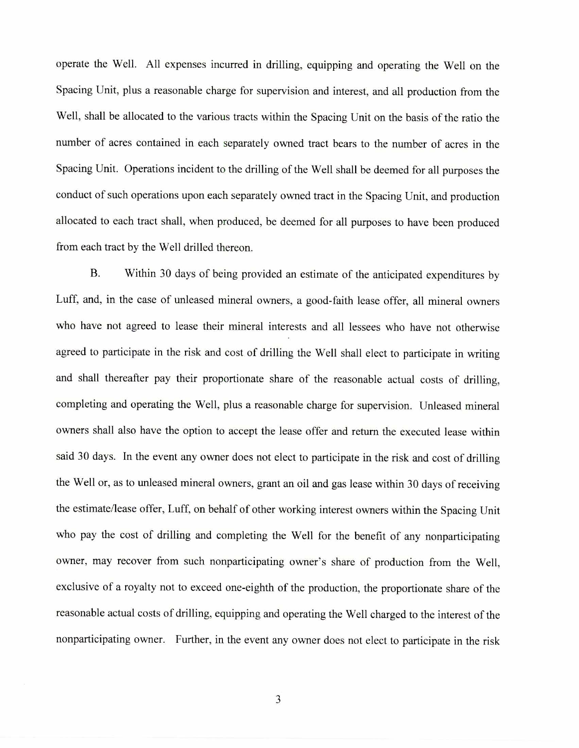operate the Well. All expenses incurred in drilling, equipping and operating the Well on the Spacing Unit, plus a reasonable charge for supervision and interest, and all production from the Well, shall be allocated to the various tracts within the Spacing Unit on the basis of the ratio the number of acres contained in each separately owned tract bears to the number of acres in the Spacing Unit. Operations incident to the drilling of the Well shall be deemed for all purposes the conduct of such operations upon each separately owned tract in the Spacing Unit, and production allocated to each tract shall, when produced, be deemed for all purposes to have been produced from each tract by the Well drilled thereon.

B. Within 30 days of being provided an estimate of the anticipated expenditures by Luff, and, in the case of unleased mineral owners, a good-faith lease offer, all mineral owners who have not agreed to lease their mineral interests and all lessees who have not otherwise agreed to participate in the risk and cost of drilling the Well shall elect to participate in writing and shall thereafter pay their proportionate share of the reasonable actual costs of drilling, completing and operating the 'Well, plus a reasonable charge for supervision. Unleased mineral owners shall also have the option to accept the lease offer and return the executed lease within said 30 days. In the event any owner does not elect to participate in the risk and cost of drilling the Well or, as to unleased mineral owners, grant an oil and gas lease within 30 days of receiving the estimate/lease offer, Luff, on behalf of other working interest owners within the Spacing Unit who pay the cost of drilling and completing the Well for the benefit of any nonparticipating owner, may recover from such nonparticipating owner's share of production from the Well, exclusive of a royalty not to exceed one-eighth of the production, the proportionate share of the reasonable actual costs of drilling, equipping and operating the Well charged to the interest of the nonparticipating owner. Further, in the event any owner does not elect to participate in the risk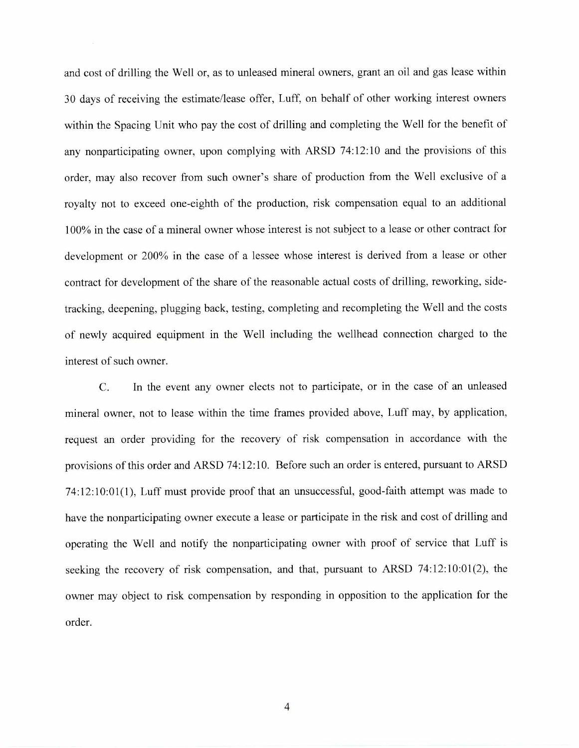and cost of drilling the Well or, as to unleased mineral owners, grant an oil and gas lease within 30 days of receiving the estimate/lease offer, Luff, on behalf of other working interest owners within the Spacing Unit who pay the cost of drilling and completing the Well for the benefit of any nonparticipating owner, upon complying with ARSD 74:12:10 and the provisions of this order, may also recover from such owner's share of production from the Well exclusive of a royalty not to exceed one-eighth of the production, risk compensation equal to an additional 100% in the case of a mineral owner whose interest is not subject to a lease or other contract for development or 200% in the case of a lessee whose interest is derived from a lease or other contract for development of the share of the reasonable actual costs of drilling, reworking, sidetracking, deepening, plugging back, testing, completing and recompleting the Well and the costs of newly acquired equipment in the Well including the wellhead connection charged to the interest of such owner.

C. In the event any owner elects not to participate, or in the case of an unleased mineral owner, not to lease within the time frames provided above, Luff may, by application, request an order providing for the recovery of risk compensation in accordance with the provisions of this order and ARSD 74:12:10. Before such an order is entered, pursuant to ARSD 74:12:10:01(1), Luff must provide proof that an unsuccessful, good-faith attempt was made to have the nonparticipating owner execute a lease or participate in the risk and cost of drilling and operating the Well and notify the nonparticipating owner with proof of service that Luff is seeking the recovery of risk compensation, and that, pursuant to ARSD 74:12:10:01(2), the owner may object to risk compensation by responding in opposition to the application for the order.